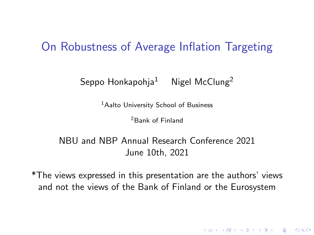### On Robustness of Average Inflation Targeting

Seppo Honkapohja<sup>1</sup> Nigel McClung<sup>2</sup>

<sup>1</sup>Aalto University School of Business

<sup>2</sup>Bank of Finland

NBU and NBP Annual Research Conference 2021 June 10th, 2021

\*The views expressed in this presentation are the authors' views and not the views of the Bank of Finland or the Eurosystem

KELK KØLK VELKEN EL 1990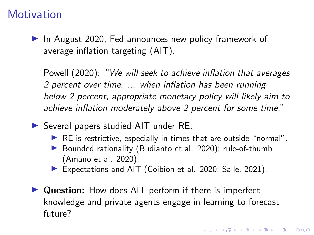### **Motivation**

 $\blacktriangleright$  In August 2020, Fed announces new policy framework of average inflation targeting (AIT).

Powell (2020): "We will seek to achieve inflation that averages 2 percent over time. ... when inflation has been running below 2 percent, appropriate monetary policy will likely aim to achieve inflation moderately above 2 percent for some time."

 $\triangleright$  Several papers studied AIT under RE.

- $\blacktriangleright$  RE is restrictive, especially in times that are outside "normal".
- $\triangleright$  Bounded rationality (Budianto et al. 2020); rule-of-thumb (Amano et al. 2020).
- Expectations and AIT (Coibion et al. 2020; Salle, 2021).
- $\triangleright$  Question: How does AIT perform if there is imperfect knowledge and private agents engage in learning to forecast future?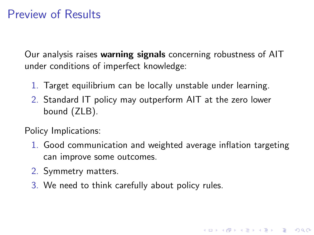## Preview of Results

Our analysis raises warning signals concerning robustness of AIT under conditions of imperfect knowledge:

- 1. Target equilibrium can be locally unstable under learning.
- 2. Standard IT policy may outperform AIT at the zero lower bound (ZLB).

Policy Implications:

1. Good communication and weighted average inflation targeting can improve some outcomes.

4 0 > 4 4 + 4 = + 4 = + = + + 0 4 0 +

- 2. Symmetry matters.
- 3. We need to think carefully about policy rules.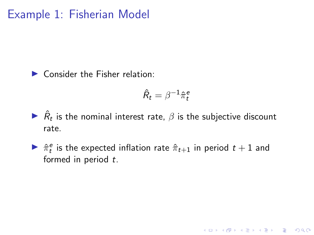$\triangleright$  Consider the Fisher relation:

$$
\hat{R}_t = \beta^{-1} \hat{\pi}_t^e
$$

K ロ ▶ K 個 ▶ K 할 ▶ K 할 ▶ 이 할 → 9 Q Q →

- $\blacktriangleright$   $\hat{R}_t$  is the nominal interest rate,  $\beta$  is the subjective discount rate.
- $\triangleright$   $\hat{\pi}^e_t$  is the expected inflation rate  $\hat{\pi}_{t+1}$  in period  $t+1$  and formed in period t.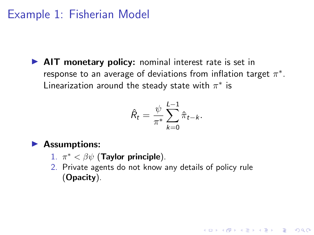$\triangleright$  AIT monetary policy: nominal interest rate is set in response to an average of deviations from inflation target  $\pi^*.$ Linearization around the steady state with  $\pi^*$  is

$$
\hat{R}_t = \frac{\psi}{\pi^*} \sum_{k=0}^{L-1} \hat{\pi}_{t-k}.
$$

#### $\blacktriangleright$  Assumptions:

- 1.  $\pi^* < \beta \psi$  (Taylor principle).
- 2. Private agents do not know any details of policy rule (Opacity).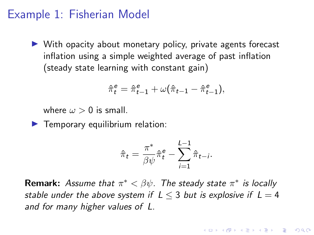$\triangleright$  With opacity about monetary policy, private agents forecast inflation using a simple weighted average of past inflation (steady state learning with constant gain)

$$
\hat{\pi}^e_t = \hat{\pi}^e_{t-1} + \omega(\hat{\pi}_{t-1} - \hat{\pi}^e_{t-1}),
$$

where  $\omega > 0$  is small.

 $\blacktriangleright$  Temporary equilibrium relation:

$$
\hat{\pi}_t = \frac{\pi^*}{\beta \psi} \hat{\pi}_t^e - \sum_{i=1}^{L-1} \hat{\pi}_{t-i}.
$$

**Remark:** Assume that  $\pi^* < \beta \psi$ . The steady state  $\pi^*$  is locally stable under the above system if  $L < 3$  but is explosive if  $L = 4$ and for many higher values of L.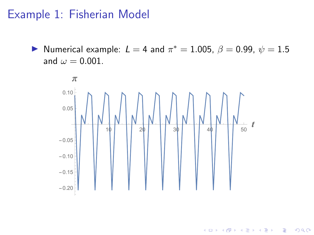Numerical example:  $L = 4$  and  $\pi^* = 1.005$ ,  $\beta = 0.99$ ,  $\psi = 1.5$ and  $\omega = 0.001$ .



 $4$  ロ )  $4$   $\overline{r}$  )  $4$   $\overline{z}$  )  $4$   $\overline{z}$  )

 $2990$ 

B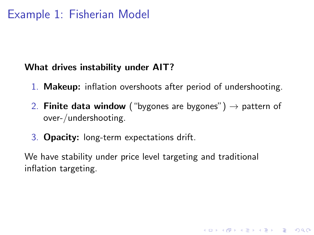#### What drives instability under AIT?

- 1. Makeup: inflation overshoots after period of undershooting.
- 2. **Finite data window** ("bygones are bygones")  $\rightarrow$  pattern of over-/undershooting.

3. Opacity: long-term expectations drift.

We have stability under price level targeting and traditional inflation targeting.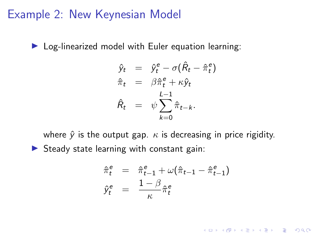### Example 2: New Keynesian Model

 $\triangleright$  Log-linearized model with Euler equation learning:

$$
\hat{y}_t = \hat{y}_t^e - \sigma(\hat{R}_t - \hat{\pi}_t^e) \n\hat{\pi}_t = \beta \hat{\pi}_t^e + \kappa \hat{y}_t \n\hat{R}_t = \psi \sum_{k=0}^{L-1} \hat{\pi}_{t-k}.
$$

where  $\hat{v}$  is the output gap.  $\kappa$  is decreasing in price rigidity.  $\triangleright$  Steady state learning with constant gain:

$$
\begin{array}{rcl}\n\hat{\pi}_t^e &=& \hat{\pi}_{t-1}^e + \omega(\hat{\pi}_{t-1} - \hat{\pi}_{t-1}^e) \\
\hat{y}_t^e &=& \frac{1-\beta}{\kappa} \hat{\pi}_t^e\n\end{array}
$$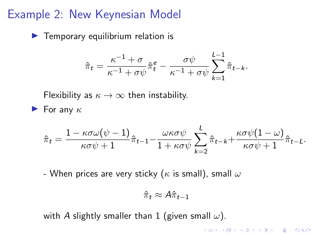### Example 2: New Keynesian Model

 $\blacktriangleright$  Temporary equilibrium relation is

$$
\hat{\pi}_t = \frac{\kappa^{-1} + \sigma}{\kappa^{-1} + \sigma \psi} \hat{\pi}_t^e - \frac{\sigma \psi}{\kappa^{-1} + \sigma \psi} \sum_{k=1}^{L-1} \hat{\pi}_{t-k}.
$$

Flexibility as  $\kappa \to \infty$  then instability.

**For any**  $\kappa$ 

$$
\hat{\pi}_t = \frac{1 - \kappa \sigma \omega (\psi - 1)}{\kappa \sigma \psi + 1} \hat{\pi}_{t-1} - \frac{\omega \kappa \sigma \psi}{1 + \kappa \sigma \psi} \sum_{k=2}^L \hat{\pi}_{t-k} + \frac{\kappa \sigma \psi (1 - \omega)}{\kappa \sigma \psi + 1} \hat{\pi}_{t-L}.
$$

- When prices are very sticky ( $\kappa$  is small), small  $\omega$ 

$$
\hat{\pi}_t \approx A \hat{\pi}_{t-1}
$$

with A slightly smaller than 1 (given small  $\omega$ ).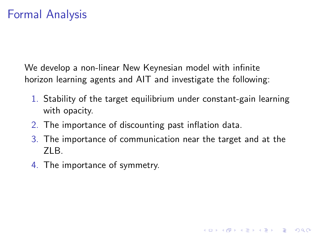We develop a non-linear New Keynesian model with infinite horizon learning agents and AIT and investigate the following:

- 1. Stability of the target equilibrium under constant-gain learning with opacity.
- 2. The importance of discounting past inflation data.
- 3. The importance of communication near the target and at the ZLB.

4. The importance of symmetry.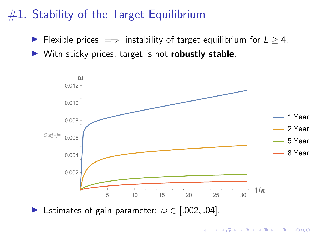# $#1$ . Stability of the Target Equilibrium

► Flexible prices  $\implies$  instability of target equilibrium for  $L \geq 4$ .

 $\triangleright$  With sticky prices, target is not **robustly stable**.



**KORKARYKERKER POLO** 

Estimates of gain parameter:  $\omega \in [.002, .04]$ .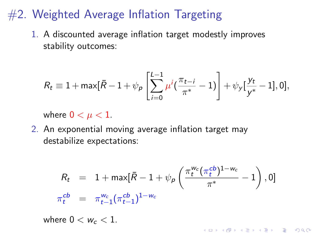## <span id="page-12-0"></span> $#2$ . Weighted Average Inflation Targeting

1. A discounted average inflation target modestly improves stability outcomes:

$$
R_t \equiv 1 + \max[\bar{R} - 1 + \psi_P \left[ \sum_{i=0}^{L-1} \mu^i (\frac{\pi_{t-i}}{\pi^*} - 1) \right] + \psi_Y [\frac{y_t}{y^*} - 1], 0],
$$

where  $0 < \mu < 1$ .

2. An exponential moving average inflation target may destabilize expectations:

$$
R_t = 1 + \max[\bar{R} - 1 + \psi_p \left( \frac{\pi_t^{w_c} (\pi_t^{cb})^{1 - w_c}}{\pi^*} - 1 \right), 0]
$$
  

$$
\pi_t^{cb} = \pi_{t-1}^{w_c} (\pi_{t-1}^{cb})^{1 - w_c}
$$

where  $0 < w_c < 1$ .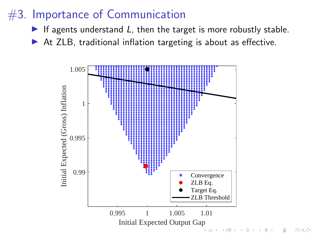# #3. Importance of Communication

- If agents understand  $L$ , then the target is more robustly stable.
- $\triangleright$  At ZLB, traditional inflation targeting is about as effective.

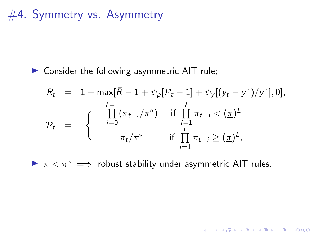#4. Symmetry vs. Asymmetry

 $\triangleright$  Consider the following asymmetric AIT rule;

$$
R_{t} = 1 + \max[\bar{R} - 1 + \psi_{p}[\mathcal{P}_{t} - 1] + \psi_{y}[(y_{t} - y^{*})/y^{*}], 0],
$$
  
\n
$$
\mathcal{P}_{t} = \begin{cases} \prod_{i=0}^{L-1} (\pi_{t-i}/\pi^{*}) & \text{if } \prod_{i=1}^{L} \pi_{t-i} < (\underline{\pi})^{L} \\ \pi_{t}/\pi^{*} & \text{if } \prod_{i=1}^{L} \pi_{t-i} \geq (\underline{\pi})^{L}, \end{cases}
$$

 $\triangleright$   $\pi$  <  $\pi$ <sup>\*</sup>  $\implies$  robust stability under asymmetric AIT rules.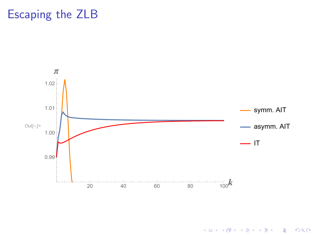## Escaping the ZLB



イロメ イ団 メイミメイミメー

 $290$ 重し